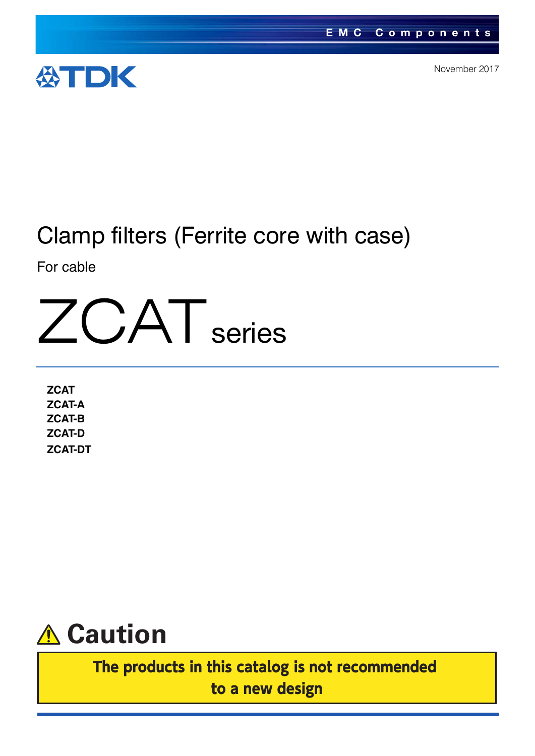

November 2017

# Clamp filters (Ferrite core with case)

For cable



**ZCAT ZCAT-A ZCAT-B ZCAT-D ZCAT-DT**



The products in this catalog is not recommended to a new design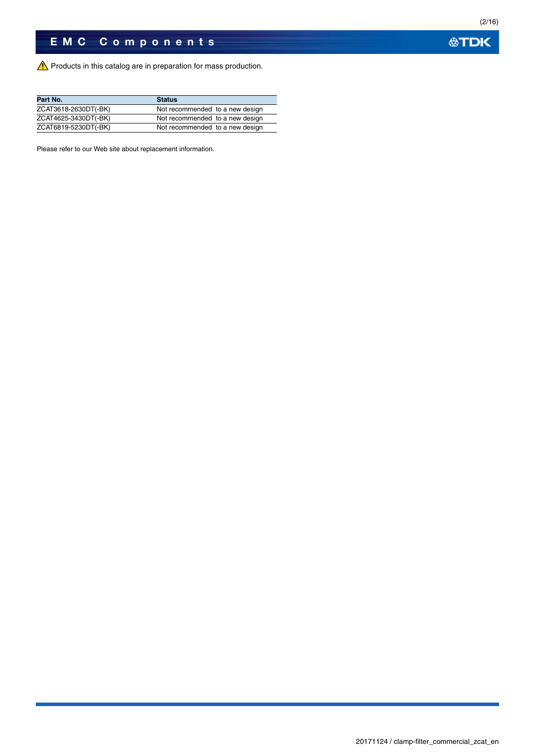Products in this catalog are in preparation for mass production.

| Part No.             | <b>Status</b>                   |
|----------------------|---------------------------------|
| ZCAT3618-2630DT(-BK) | Not recommended to a new design |
| ZCAT4625-3430DT(-BK) | Not recommended to a new design |
| ZCAT6819-5230DT(-BK) | Not recommended to a new design |

Please refer to our Web site about replacement information.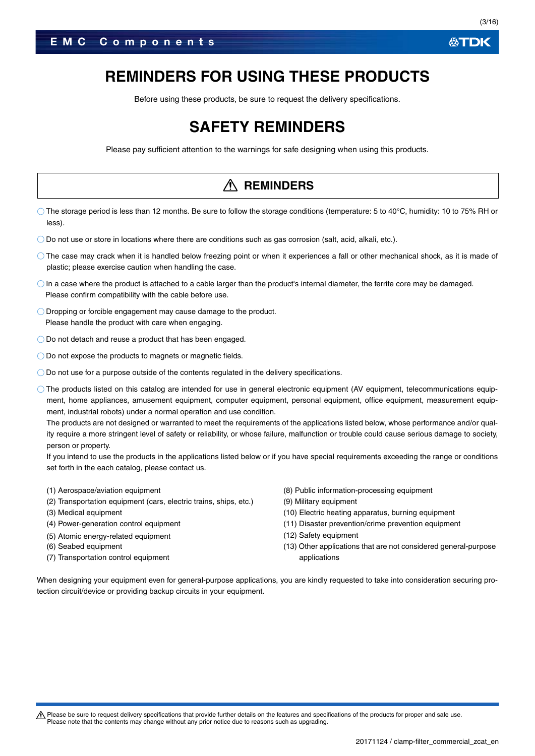Before using these products, be sure to request the delivery specifications.

## **SAFETY REMINDERS**

Please pay sufficient attention to the warnings for safe designing when using this products.

### **REMINDERS**

- The storage period is less than 12 months. Be sure to follow the storage conditions (temperature: 5 to 40°C, humidity: 10 to 75% RH or less).
- Do not use or store in locations where there are conditions such as gas corrosion (salt, acid, alkali, etc.).
- The case may crack when it is handled below freezing point or when it experiences a fall or other mechanical shock, as it is made of plastic; please exercise caution when handling the case.
- $\bigcirc$  In a case where the product is attached to a cable larger than the product's internal diameter, the ferrite core may be damaged. Please confirm compatibility with the cable before use.
- Dropping or forcible engagement may cause damage to the product. Please handle the product with care when engaging.
- O Do not detach and reuse a product that has been engaged.
- O Do not expose the products to magnets or magnetic fields.
- Do not use for a purpose outside of the contents regulated in the delivery specifications.
- The products listed on this catalog are intended for use in general electronic equipment (AV equipment, telecommunications equipment, home appliances, amusement equipment, computer equipment, personal equipment, office equipment, measurement equipment, industrial robots) under a normal operation and use condition.

The products are not designed or warranted to meet the requirements of the applications listed below, whose performance and/or quality require a more stringent level of safety or reliability, or whose failure, malfunction or trouble could cause serious damage to society, person or property.

If you intend to use the products in the applications listed below or if you have special requirements exceeding the range or conditions set forth in the each catalog, please contact us.

- (1) Aerospace/aviation equipment
- (2) Transportation equipment (cars, electric trains, ships, etc.)
- (3) Medical equipment
- (4) Power-generation control equipment
- (5) Atomic energy-related equipment
- (6) Seabed equipment
- (7) Transportation control equipment
- (8) Public information-processing equipment
- (9) Military equipment
- (10) Electric heating apparatus, burning equipment
- (11) Disaster prevention/crime prevention equipment
- (12) Safety equipment
- (13) Other applications that are not considered general-purpose applications

When designing your equipment even for general-purpose applications, you are kindly requested to take into consideration securing protection circuit/device or providing backup circuits in your equipment.

A Please be sure to request delivery specifications that provide further details on the features and specifications of the products for proper and safe use. Please note that the contents may change without any prior notice due to reasons such as upgrading.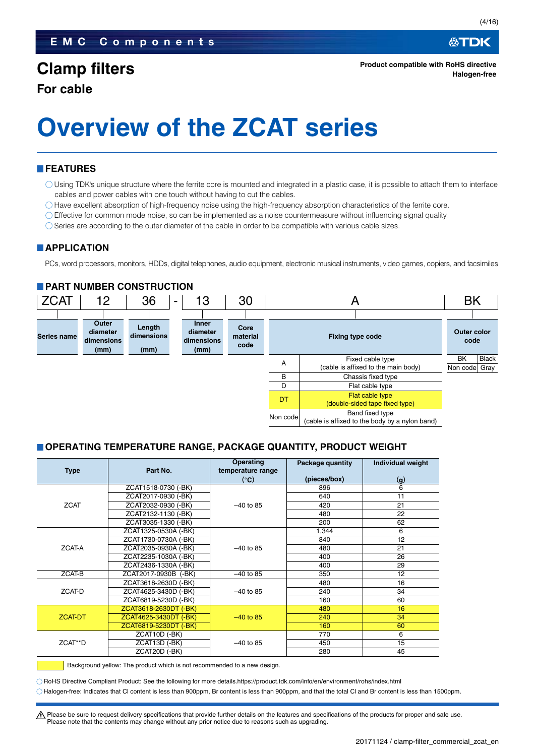∰TDK

# **Overview of the ZCAT series**

#### **FEATURES**

- Using TDK's unique structure where the ferrite core is mounted and integrated in a plastic case, it is possible to attach them to interface cables and power cables with one touch without having to cut the cables.
- $\bigcirc$  Have excellent absorption of high-frequency noise using the high-frequency absorption characteristics of the ferrite core.
- Effective for common mode noise, so can be implemented as a noise countermeasure without influencing signal quality.
- Series are according to the outer diameter of the cable in order to be compatible with various cable sizes.

#### **APPLICATION**

PCs, word processors, monitors, HDDs, digital telephones, audio equipment, electronic musical instruments, video games, copiers, and facsimiles

#### **PART NUMBER CONSTRUCTION**



#### **OPERATING TEMPERATURE RANGE, PACKAGE QUANTITY, PRODUCT WEIGHT**

| <b>Type</b> | Part No.              | <b>Operating</b><br>temperature range | Package quantity | <b>Individual weight</b> |
|-------------|-----------------------|---------------------------------------|------------------|--------------------------|
|             |                       | (°C)                                  | (pieces/box)     | (q)                      |
|             | ZCAT1518-0730 (-BK)   |                                       | 896              | 6                        |
|             | ZCAT2017-0930 (-BK)   |                                       | 640              | 11                       |
| <b>ZCAT</b> | ZCAT2032-0930 (-BK)   | $-40$ to 85                           | 420              | 21                       |
|             | ZCAT2132-1130 (-BK)   |                                       | 480              | 22                       |
|             | ZCAT3035-1330 (-BK)   |                                       | 200              | 62                       |
|             | ZCAT1325-0530A (-BK)  |                                       | 1,344            | 6                        |
|             | ZCAT1730-0730A (-BK)  |                                       | 840              | 12                       |
| ZCAT-A      | ZCAT2035-0930A (-BK)  | $-40$ to 85                           | 480              | 21                       |
|             | ZCAT2235-1030A (-BK)  |                                       | 400              | 26                       |
|             | ZCAT2436-1330A (-BK)  |                                       | 400              | 29                       |
| ZCAT-B      | ZCAT2017-0930B (-BK)  | $-40$ to 85                           | 350              | 12                       |
|             | ZCAT3618-2630D (-BK)  |                                       | 480              | 16                       |
| ZCAT-D      | ZCAT4625-3430D (-BK)  | $-40$ to 85                           | 240              | 34                       |
|             | ZCAT6819-5230D (-BK)  |                                       | 160              | 60                       |
|             | ZCAT3618-2630DT (-BK) |                                       | 480              | 16                       |
| ZCAT-DT     | ZCAT4625-3430DT (-BK) | $-40$ to 85                           | 240              | 34                       |
|             | ZCAT6819-5230DT (-BK) |                                       | 160              | 60                       |
|             | ZCAT10D (-BK)         |                                       | 770              | 6                        |
| ZCAT**D     | ZCAT13D (-BK)         | $-40$ to 85                           | 450              | 15                       |
|             | ZCAT20D (-BK)         |                                       | 280              | 45                       |

Background yellow: The product which is not recommended to a new design.

RoHS Directive Compliant Product: See the following for more details.https://product.tdk.com/info/en/environment/rohs/index.html Halogen-free: Indicates that Cl content is less than 900ppm, Br content is less than 900ppm, and that the total Cl and Br content is less than 1500ppm.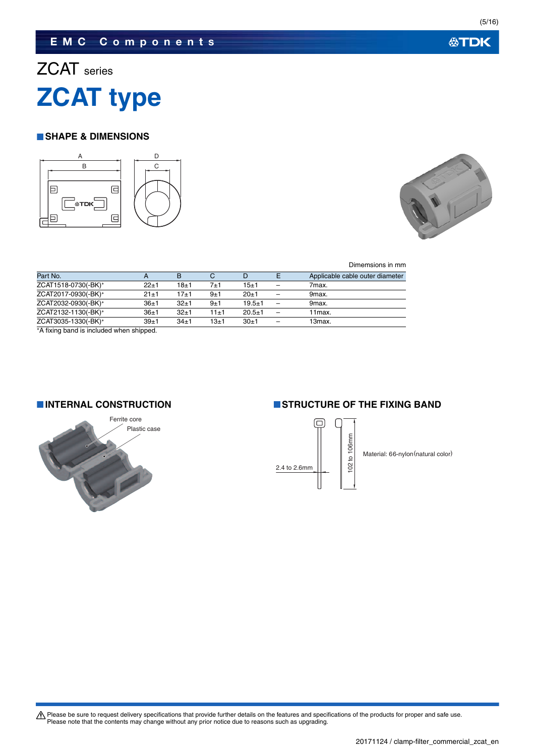## **EMC Components**

# ZCAT series **ZCAT type**

#### **SHAPE & DIMENSIONS**





Dimemsions in mm

| Part No.            |          | B        | С        | D          | Applicable cable outer diameter |
|---------------------|----------|----------|----------|------------|---------------------------------|
| ZCAT1518-0730(-BK)* | $22 + 1$ | 18±1     | $7 + 1$  | $15 + 1$   | 7max.                           |
| ZCAT2017-0930(-BK)* | $21 + 1$ | 17±1     | 9±1      | $20+1$     | 9 <sub>max</sub>                |
| ZCAT2032-0930(-BK)* | $36 + 1$ | $32+1$   | 9±1      | $19.5 + 1$ | 9max.                           |
| ZCAT2132-1130(-BK)* | $36+1$   | $32+1$   | $11 + 1$ | $20.5 + 1$ | 11 <sub>max</sub>               |
| ZCAT3035-1330(-BK)* | 39±1     | $34\pm1$ | $13\pm1$ | $30+1$     | 13 <sub>max</sub>               |
| .                   |          |          |          |            |                                 |

A fixing band is included when shipped.



#### **INTERNAL CONSTRUCTION IS TRUCTURE OF THE FIXING BAND**



Material: 66-nylon(natural color)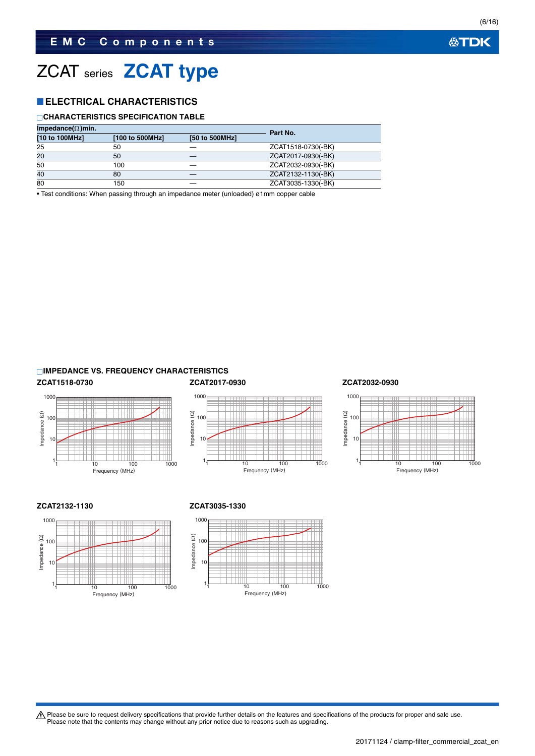# ZCAT series **ZCAT type**

### **ELECTRICAL CHARACTERISTICS**

#### **CHARACTERISTICS SPECIFICATION TABLE**

| Impedance( $\Omega$ )min. |                 | Part No.       |                    |
|---------------------------|-----------------|----------------|--------------------|
| [10 to 100MHz]            | [100 to 500MHz] | [50 to 500MHz] |                    |
| 25                        | 50              |                | ZCAT1518-0730(-BK) |
| 20                        | 50              |                | ZCAT2017-0930(-BK) |
| 50                        | 100             |                | ZCAT2032-0930(-BK) |
| 40                        | 80              |                | ZCAT2132-1130(-BK) |
| 80                        | 150             |                | ZCAT3035-1330(-BK) |

• Test conditions: When passing through an impedance meter (unloaded) ø1mm copper cable

#### **IMPEDANCE VS. FREQUENCY CHARACTERISTICS**







#### **ZCAT1518-0730 ZCAT2017-0930 ZCAT2032-0930**



#### **ZCAT2132-1130 ZCAT3035-1330**





Please be sure to request delivery specifications that provide further details on the features and specifications of the products for proper and safe use.<br>Please note that the contents may change without any prior notice d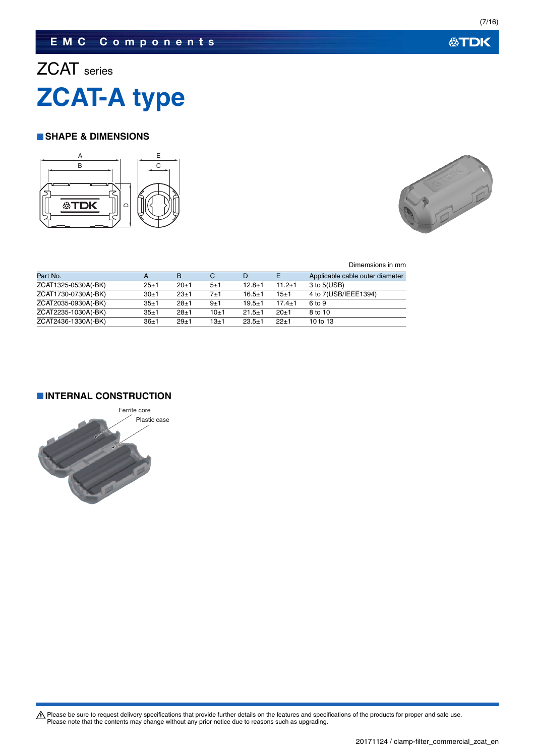## **EMC Components**

# ZCAT series **ZCAT-A type**

#### **SHAPE & DIMENSIONS**





Dimemsions in mm

| Part No.            |          | B        |          | D            |            | Applicable cable outer diameter |
|---------------------|----------|----------|----------|--------------|------------|---------------------------------|
| ZCAT1325-0530A(-BK) | $25 + 1$ | $20+1$   | 5±1      | $12.8 + 1$   | $11.2 + 1$ | 3 to 5(USB)                     |
| ZCAT1730-0730A(-BK) | $30+1$   | $23+1$   | 7±1      | $16.5 \pm 1$ | 15±1       | 4 to 7(USB/IEEE1394)            |
| ZCAT2035-0930A(-BK) | $35 + 1$ | $28 + 1$ | 9±1      | $19.5 + 1$   | $17.4 + 1$ | 6 to 9                          |
| ZCAT2235-1030A(-BK) | $35 + 1$ | $28 + 1$ | $10+1$   | $21.5 + 1$   | $20+1$     | 8 to 10                         |
| ZCAT2436-1330A(-BK) | 36±1     | $29+1$   | $13 + 1$ | $23.5 + 1$   | $22+1$     | 10 to 13                        |

**INTERNAL CONSTRUCTION**

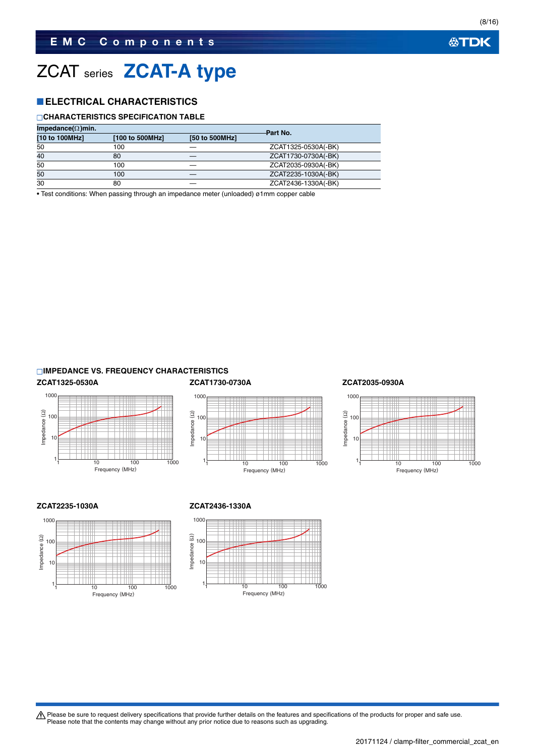## ZCAT series **ZCAT-A type**

### **ELECTRICAL CHARACTERISTICS**

#### **CHARACTERISTICS SPECIFICATION TABLE**

| Impedance( $\Omega$ )min. |                 | Part No.       |                     |
|---------------------------|-----------------|----------------|---------------------|
| [10 to 100MHz]            | [100 to 500MHz] | [50 to 500MHz] |                     |
| 50                        | 100             |                | ZCAT1325-0530A(-BK) |
| 40                        | 80              |                | ZCAT1730-0730A(-BK) |
| 50                        | 100             |                | ZCAT2035-0930A(-BK) |
| 50                        | 100             |                | ZCAT2235-1030A(-BK) |
| 30                        | 80              |                | ZCAT2436-1330A(-BK) |

• Test conditions: When passing through an impedance meter (unloaded) ø1mm copper cable

#### **IMPEDANCE VS. FREQUENCY CHARACTERISTICS**









#### **ZCAT2235-1030A ZCAT2436-1330A**





Please be sure to request delivery specifications that provide further details on the features and specifications of the products for proper and safe use.<br>Please note that the contents may change without any prior notice d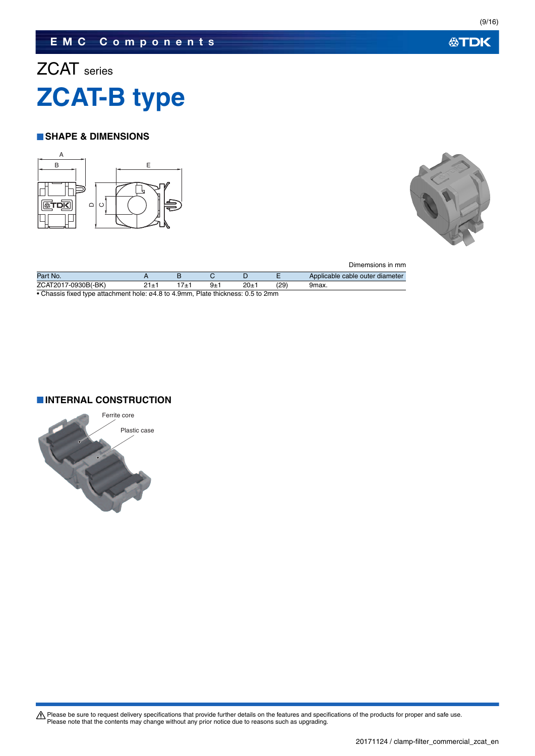## **EMC Components**

# ZCAT series **ZCAT-B type**

#### **SHAPE & DIMENSIONS**





|                     |            |     |      |      | Dimemsions in mm                |
|---------------------|------------|-----|------|------|---------------------------------|
| Part No.            |            |     |      |      | Applicable cable outer diameter |
| ZCAT2017-0930B(-BK) | $21 \pm 1$ | 9±1 | 20±1 | (29) | 9max.                           |

• Chassis fixed type attachment hole: ø4.8 to 4.9mm, Plate thickness: 0.5 to 2mm

#### **INTERNAL CONSTRUCTION**

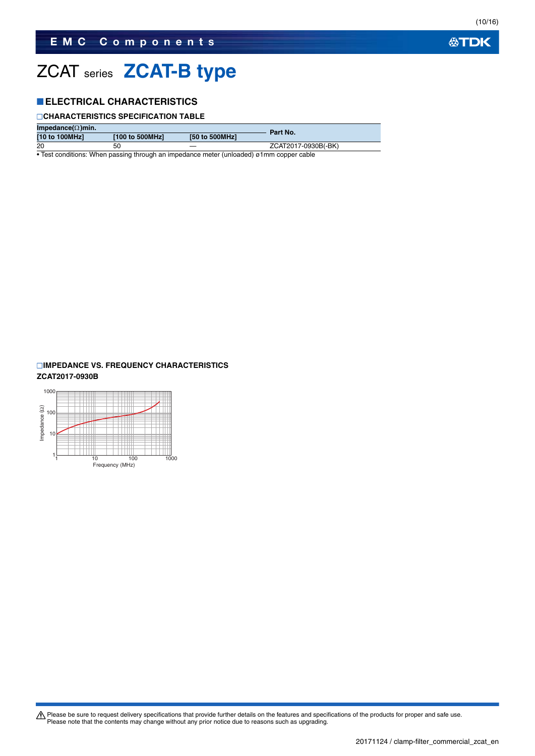# ZCAT series **ZCAT-B type**

### **ELECTRICAL CHARACTERISTICS**

#### **CHARACTERISTICS SPECIFICATION TABLE**

| Impedance( $\Omega$ )min. |                   | Part No.       |                     |
|---------------------------|-------------------|----------------|---------------------|
| [10 to 100MHz]            | [100 to 500MHz]   | [50 to 500MHz] |                     |
| 20                        | 50                |                | ZCAT2017-0930B(-BK) |
| .                         | <br>$\sim$ $\sim$ |                |                     |

• Test conditions: When passing through an impedance meter (unloaded) ø1mm copper cable

### **IMPEDANCE VS. FREQUENCY CHARACTERISTICS**

#### **ZCAT2017-0930B**



**公TDK** 

(10/16)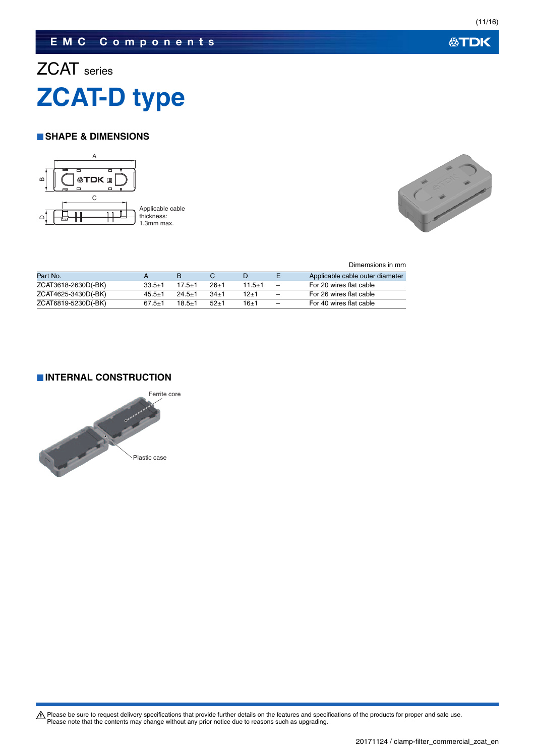### **EMC Components**

# ZCAT series **ZCAT-D type**

#### **SHAPE & DIMENSIONS**





Dimemsions in mm

| Part No.            |              |            |        |        |                          | Applicable cable outer diameter |
|---------------------|--------------|------------|--------|--------|--------------------------|---------------------------------|
| ZCAT3618-2630D(-BK) | $33.5 + 1$   | 17.5±1     | -26+1  | 11.5±1 |                          | For 20 wires flat cable         |
| ZCAT4625-3430D(-BK) | $45.5 + 1$   | $24.5 + 1$ | 34+1   | 12+1   |                          | For 26 wires flat cable         |
| ZCAT6819-5230D(-BK) | $67.5 \pm 1$ | $18.5 + 1$ | $52+1$ | 16±1   | $\overline{\phantom{m}}$ | For 40 wires flat cable         |

#### **INTERNAL CONSTRUCTION**

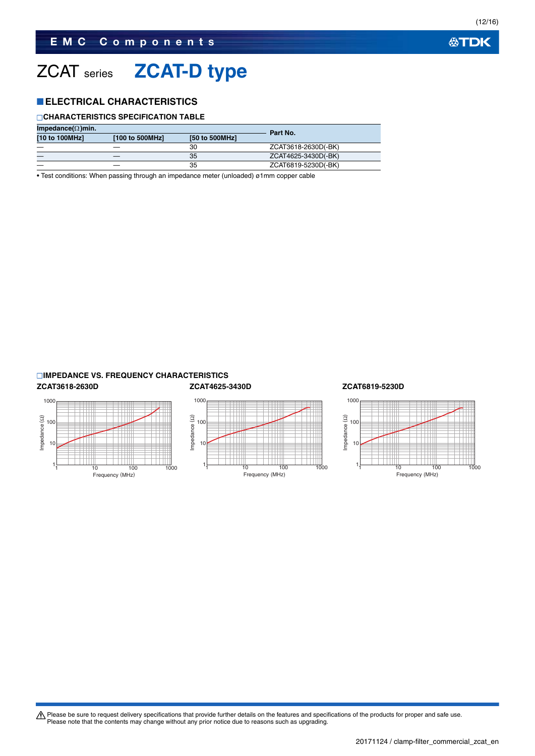# ZCAT series **ZCAT-D type**

#### **ELECTRICAL CHARACTERISTICS**

#### **CHARACTERISTICS SPECIFICATION TABLE**

| Impedance( $\Omega$ )min. |                 | Part No. |                     |
|---------------------------|-----------------|----------|---------------------|
| [10 to 100MHz]            | [100 to 500MHz] |          |                     |
|                           |                 | 30       | ZCAT3618-2630D(-BK) |
|                           |                 | 35       | ZCAT4625-3430D(-BK) |
|                           |                 | 35       | ZCAT6819-5230D(-BK) |

• Test conditions: When passing through an impedance meter (unloaded) ø1mm copper cable

#### **IMPEDANCE VS. FREQUENCY CHARACTERISTICS**

#### **ZCAT3618-2630D ZCAT4625-3430D ZCAT6819-5230D** 1000 Impedance (2) Impedance (Ω) Impedance (Ω) 100 10 1 1 10 100 1000 Frequency (MHz)



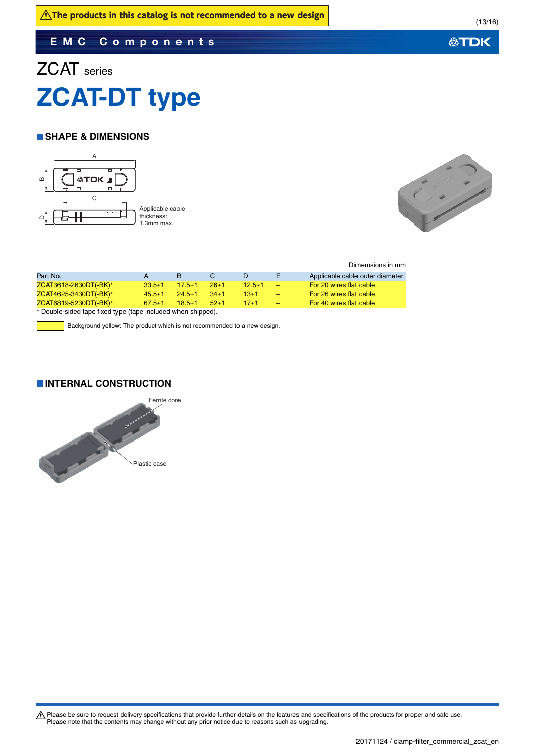### **EMC Components**

# ZCAT series **ZCAT-DT type**

#### **SHAPE & DIMENSIONS**





Dimemsions in mm

| Part No.                                                    |              |            |        | D          |   | Applicable cable outer diameter |
|-------------------------------------------------------------|--------------|------------|--------|------------|---|---------------------------------|
| ZCAT3618-2630DT(-BK)*                                       | $33.5 \pm 1$ | $17.5 + 1$ | $26+1$ | $12.5 + 1$ | - | For 20 wires flat cable         |
| ZCAT4625-3430DT(-BK)*                                       | $45.5 \pm 1$ | $24.5 + 1$ | $34+1$ | 13+1       | - | For 26 wires flat cable         |
| ZCAT6819-5230DT(-BK)*                                       | $67.5 \pm 1$ | $18.5 + 1$ | $52+1$ | 17+1       | - | For 40 wires flat cable         |
| * Double-sided tane fixed type (tane included when shipped) |              |            |        |            |   |                                 |

ed tape fixed type (tape included when shipped).

 $\overline{\phantom{a}}$  Background yellow: The product which is not recommended to a new design.

#### **INTERNAL CONSTRUCTION**



Please be sure to request delivery specifications that provide further details on the features and specifications of the products for proper and safe use.<br>Please note that the contents may change without any prior notice d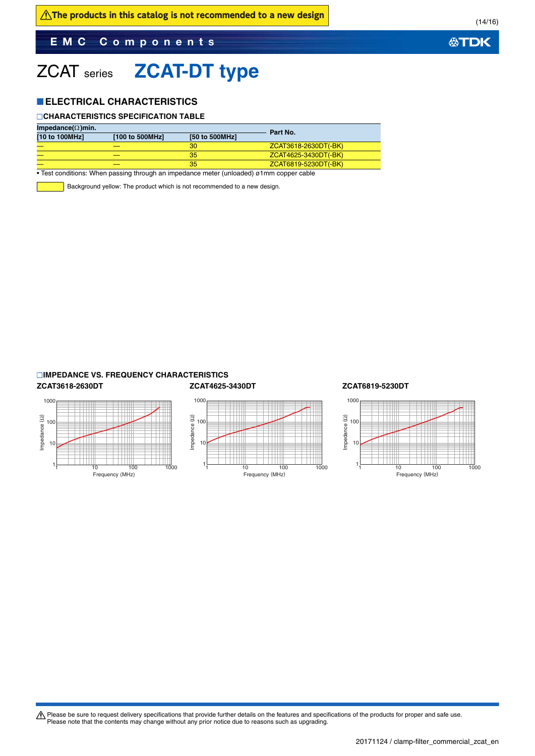### **EMC Components**

# ZCAT series **ZCAT-DT type**

#### **ELECTRICAL CHARACTERISTICS**

#### **CHARACTERISTICS SPECIFICATION TABLE**

| Impedance( $\Omega$ )min. |                 | Part No.       |                      |  |
|---------------------------|-----------------|----------------|----------------------|--|
| [10 to 100MHz]            | [100 to 500MHz] | [50 to 500MHz] |                      |  |
|                           |                 | 30             | ZCAT3618-2630DT(-BK) |  |
|                           |                 | 35             | ZCAT4625-3430DT(-BK) |  |
|                           |                 | 35             | ZCAT6819-5230DT(-BK) |  |

• Test conditions: When passing through an impedance meter (unloaded) ø1mm copper cable

Background yellow: The product which is not recommended to a new design.

#### **IMPEDANCE VS. FREQUENCY CHARACTERISTICS**

#### **ZCAT3618-2630DT ZCAT4625-3430DT ZCAT6819-5230DT** 1000 Impedance (2) Impedance (Ω) Impedance (Ω) 100 10 1 1 10 100 1000 Frequency (MHz)





Please be sure to request delivery specifications that provide further details on the features and specifications of the products for proper and safe use.<br>Please note that the contents may change without any prior notice d

20171124 / clamp-filter\_commercial\_zcat\_en.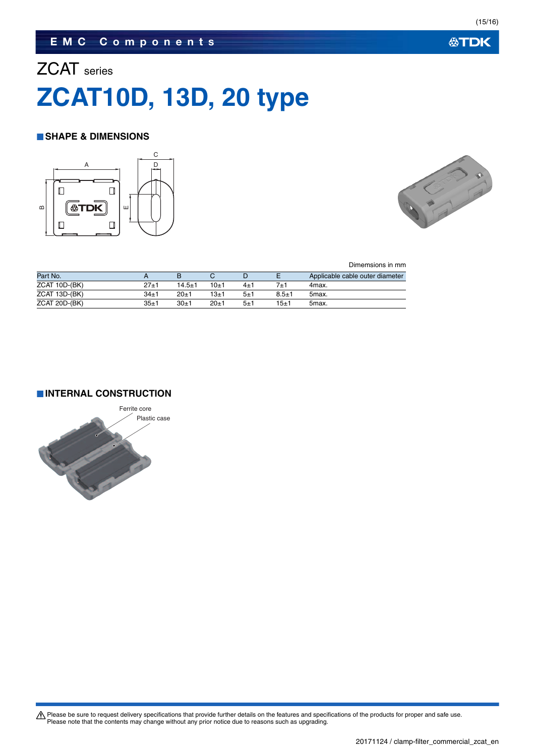### **EMC Components**

# ZCAT series **ZCAT10D, 13D, 20 type**

#### **SHAPE & DIMENSIONS**





Dimemsions in mm

| Part No.      |        |            |          |         |           | Applicable cable outer diameter |
|---------------|--------|------------|----------|---------|-----------|---------------------------------|
| ZCAT 10D-(BK) | 27+1   | $14.5 + 1$ | $10+1$   | 4±1     |           | 4max.                           |
| ZCAT 13D-(BK) | $34+1$ | $20+1$     | $13 + 1$ | $5 + 1$ | $8.5 + 1$ | 5max.                           |
| ZCAT 20D-(BK) | 35±1   | $30 + 1$   | $20+1$   | 5±1     | 15±1      | 5max.                           |

**INTERNAL CONSTRUCTION**